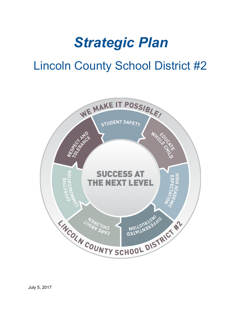# *Strategic Plan*

# Lincoln County School District #2

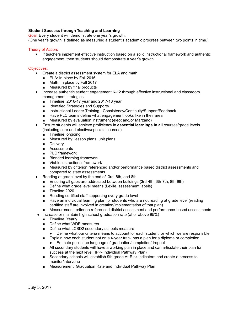## **Student Success through Teaching and Learning**

Goal: Every student will demonstrate one year's growth.

(One year's growth is defined as measuring a student's academic progress between two points in time.)

#### Theory of Action:

● If teachers implement effective instruction based on a solid instructional framework and authentic engagement, then students should demonstrate a year's growth.

#### Objectives:

- Create a district assessment system for ELA and math
	- ELA: In place by Fall 2016
	- Math: In place by Fall 2017
	- Measured by final products
- Increase authentic student engagement K-12 through effective instructional and classroom management strategies
	- Timeline: 2016-17 year and 2017-18 year
	- Identified Strategies and Supports
	- Instructional Leader Training Consistency/Continuity/Support/Feedback
	- Have PLC teams define what engagement looks like in their area
	- Measured by evaluation instrument (eleot and/or Marzano)
- Ensure students will achieve proficiency in **essential learnings in all** courses/grade levels (including core and elective/specials courses)
	- Timeline: ongoing
	- Measured by: lesson plans, unit plans
	- Delivery
	- Assessments
	- PLC framework
	- Blended learning framework
	- Viable instructional framework
	- Measured by criterion referenced and/or performance based district assessments and compared to state assessments
- Reading at grade level by the end of 3rd, 6th, and 8th
	- Ensuring all gaps are addressed between buildings (3rd-4th, 6th-7th, 8th-9th)
	- Define what grade level means (Lexile, assessment labels)
	- Timeline 2020
	- Reading certified staff supporting every grade level
	- Have an individual learning plan for students who are not reading at grade level (reading certified staff are involved in creation/implementation of that plan)
	- Measurement: criterion referenced district assessment and performance-based assessments
- Increase or maintain high school graduation rate (at or above 95%)
	- Timeline: Yearly
	- Define what WDE measures
	- Define what LCSD2 secondary schools measure
		- Define what our criteria means to account for each student for which we are responsible
	- Explain how each student not on a 4-year track has a plan for a diploma or completion
		- Educate public the language of graduation/completion/dropout
	- All secondary students will have a working plan in place and can articulate their plan for success at the next level (IPP- Individual Pathway Plan)
	- Secondary schools will establish 9th grade At-Risk indicators and create a process to monitor/intervene
	- Measurement: Graduation Rate and Individual Pathway Plan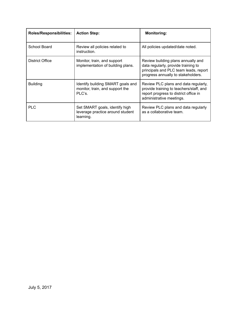| <b>Roles/Responsibilities:</b> | <b>Action Step:</b>                                                             | <b>Monitoring:</b>                                                                                                                                       |
|--------------------------------|---------------------------------------------------------------------------------|----------------------------------------------------------------------------------------------------------------------------------------------------------|
| School Board                   | Review all policies related to<br>instruction.                                  | All policies updated/date noted.                                                                                                                         |
| District Office                | Monitor, train, and support<br>implementation of building plans.                | Review building plans annually and<br>data regularly, provide training to<br>principals and PLC team leads, report<br>progress annually to stakeholders. |
| <b>Building</b>                | Identify building SMART goals and<br>monitor, train, and support the<br>PLC's.  | Review PLC plans and data regularly,<br>provide training to teachers/staff, and<br>report progress to district office in<br>administrative meetings.     |
| <b>PLC</b>                     | Set SMART goals, identify high<br>leverage practice around student<br>learning. | Review PLC plans and data regularly<br>as a collaborative team.                                                                                          |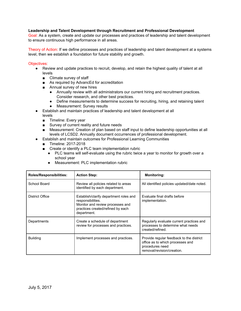## **Leadership and Talent Development through Recruitment and Professional Development**

Goal: As a system, create and update our processes and practices of leadership and talent development to ensure continuous high performance in all areas.

Theory of Action: If we define processes and practices of leadership and talent development at a systems level, then we establish a foundation for future stability and growth.

#### Objectives:

- Review and update practices to recruit, develop, and retain the highest quality of talent at all levels
	- Climate survey of staff
	- As required by AdvancEd for accreditation
	- Annual survey of new hires
		- Annually review with all administrators our current hiring and recruitment practices. Consider research, and other best practices.
		- Define measurements to determine success for recruiting, hiring, and retaining talent
		- Measurement: Survey results
- Establish and maintain practices of leadership and talent development at all levels
	- Timeline: Every year
	- Survey of current reality and future needs
	- Measurement: Creation of plan based on staff input to define leadership opportunities at all levels of LCSD2. Annually document occurrences of professional development.
- **Establish and maintain outcomes for Professional Learning Communities** 
	- Timeline: 2017-2018
	- Create or identify a PLC team implementation rubric
		- PLC teams will self-evaluate using the rubric twice a year to monitor for growth over a school year
		- Measurement: PLC implementation rubric

| Roles/Responsibilities: | <b>Action Step:</b>                                                                                                                                 | <b>Monitoring:</b>                                                                                                            |
|-------------------------|-----------------------------------------------------------------------------------------------------------------------------------------------------|-------------------------------------------------------------------------------------------------------------------------------|
| School Board            | Review all policies related to areas<br>identified by each department.                                                                              | All identified policies updated/date noted.                                                                                   |
| <b>District Office</b>  | Establish/clarify department roles and<br>responsibilities.<br>Monitor and review processes and<br>practices created/refined by each<br>department. | Evaluate final drafts before<br>implementation.                                                                               |
| Departments             | Create a schedule of department<br>review for processes and practices.                                                                              | Regularly evaluate current practices and<br>processes to determine what needs<br>created/refined.                             |
| <b>Building</b>         | Implement processes and practices.                                                                                                                  | Provide regular feedback to the district<br>office as to which processes and<br>procedures need<br>removal/revision/creation. |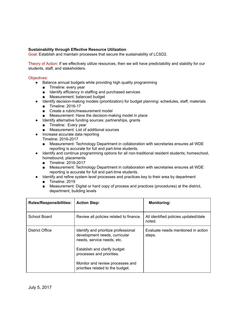# **Sustainability through Effective Resource Utilization**

Goal: Establish and maintain processes that secure the sustainability of LCSD2.

Theory of Action: If we effectively utilize resources, then we will have predictability and stability for our students, staff, and stakeholders.

#### Objectives:

- Balance annual budgets while providing high quality programming
	- Timeline: every year
	- Identify efficiency in staffing and purchased services
	- Measurement: balanced budget
- Identify decision-making models (prioritization) for budget planning: schedules, staff, materials
	- Timeline: 2016-17
	- Create a rubric/measurement model
	- Measurement: Have the decision-making model in place
- Identify alternative funding sources: partnerships, grants
	- Timeline: Every year
	- Measurement: List of additional sources
- Increase accurate data reporting
	- Timeline: 2016-2017
		- Measurement: Technology Department in collaboration with secretaries ensures all WDE reporting is accurate for full and part-time students.
- Identify and continue programming options for all non-traditional resident students; homeschool, homebound, placements
	- Timeline: 2016-2017
	- Measurement: Technology Department in collaboration with secretaries ensures all WDE reporting is accurate for full and part-time students.
- Identify and refine system level processes and practices key to their area by department
	- Timeline: 2019
	- Measurement: Digital or hard copy of process and practices (procedures) at the district, department, building levels

| <b>Roles/Responsibilities:</b> | <b>Action Step:</b>                                                                                 | <b>Monitoring:</b>                             |
|--------------------------------|-----------------------------------------------------------------------------------------------------|------------------------------------------------|
| School Board                   | Review all policies related to finance.                                                             | All identified policies updated/date<br>noted. |
| District Office                | Identify and prioritize professional<br>development needs, curricular<br>needs, service needs, etc. | Evaluate needs mentioned in action<br>steps.   |
|                                | Establish and clarify budget<br>processes and priorities.                                           |                                                |
|                                | Monitor and review processes and<br>priorities related to the budget.                               |                                                |